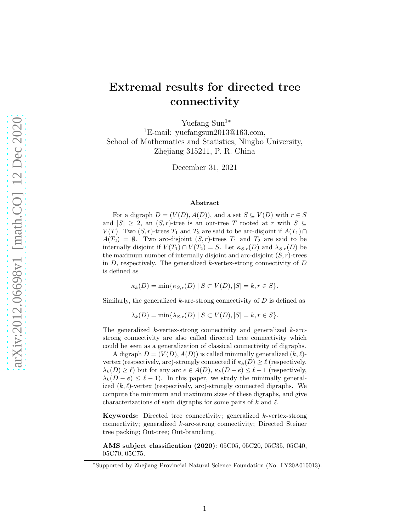# Extremal results for directed tree connectivity

Yuefang Sun<sup>1∗</sup>

<sup>1</sup>E-mail: yuefangsun2013 $@163$ .com, School of Mathematics and Statistics, Ningbo University, Zhejiang 315211, P. R. China

December 31, 2021

#### Abstract

For a digraph  $D = (V(D), A(D))$ , and a set  $S \subseteq V(D)$  with  $r \in S$ and  $|S| \geq 2$ , an  $(S, r)$ -tree is an out-tree T rooted at r with  $S \subseteq$  $V(T)$ . Two  $(S, r)$ -trees  $T_1$  and  $T_2$  are said to be arc-disjoint if  $A(T_1) \cap$  $A(T_2) = \emptyset$ . Two arc-disjoint  $(S, r)$ -trees  $T_1$  and  $T_2$  are said to be internally disjoint if  $V(T_1) \cap V(T_2) = S$ . Let  $\kappa_{S,r}(D)$  and  $\lambda_{S,r}(D)$  be the maximum number of internally disjoint and arc-disjoint  $(S, r)$ -trees in  $D$ , respectively. The generalized k-vertex-strong connectivity of  $D$ is defined as

 $\kappa_k(D) = \min{\kappa_{S,r}(D) | S \subset V(D), |S| = k, r \in S}.$ 

Similarly, the generalized k-arc-strong connectivity of  $D$  is defined as

 $\lambda_k(D) = \min\{\lambda_{S,r}(D) \mid S \subset V(D), |S| = k, r \in S\}.$ 

The generalized  $k$ -vertex-strong connectivity and generalized  $k$ -arcstrong connectivity are also called directed tree connectivity which could be seen as a generalization of classical connectivity of digraphs.

A digraph  $D = (V(D), A(D))$  is called minimally generalized  $(k, \ell)$ vertex (respectively, arc)-strongly connected if  $\kappa_k(D) \geq \ell$  (respectively,  $\lambda_k(D) \geq \ell$ ) but for any arc  $e \in A(D)$ ,  $\kappa_k(D-e) \leq \ell-1$  (respectively,  $\lambda_k(D-e) \leq \ell-1$ ). In this paper, we study the minimally generalized  $(k, \ell)$ -vertex (respectively, arc)-strongly connected digraphs. We compute the minimum and maximum sizes of these digraphs, and give characterizations of such digraphs for some pairs of  $k$  and  $\ell$ .

Keywords: Directed tree connectivity; generalized k-vertex-strong connectivity; generalized k-arc-strong connectivity; Directed Steiner tree packing; Out-tree; Out-branching.

AMS subject classification (2020): 05C05, 05C20, 05C35, 05C40, 05C70, 05C75.

<sup>∗</sup> Supported by Zhejiang Provincial Natural Science Foundation (No. LY20A010013).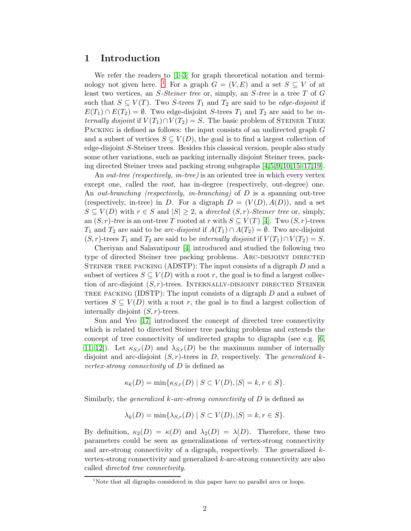## 1 Introduction

We refer the readers to [\[1–](#page-13-0)[3\]](#page-13-1) for graph theoretical notation and termi-nology not given here. <sup>[1](#page-1-0)</sup> For a graph  $G = (V, E)$  and a set  $S \subseteq V$  of at least two vertices, an S*-Steiner tree* or, simply, an S*-tree* is a tree T of G such that  $S \subseteq V(T)$ . Two S-trees  $T_1$  and  $T_2$  are said to be *edge-disjoint* if  $E(T_1) \cap E(T_2) = \emptyset$ . Two edge-disjoint S-trees  $T_1$  and  $T_2$  are said to be *internally disjoint* if  $V(T_1) \cap V(T_2) = S$ . The basic problem of STEINER TREE Packing is defined as follows: the input consists of an undirected graph G and a subset of vertices  $S \subseteq V(D)$ , the goal is to find a largest collection of edge-disjoint S-Steiner trees. Besides this classical version, people also study some other variations, such as packing internally disjoint Steiner trees, packing directed Steiner trees and packing strong subgraphs [\[4,](#page-13-2)[5,](#page-13-3)[9,](#page-13-4)[10,](#page-13-5)[15–](#page-14-0)[17,](#page-14-1)[19\]](#page-14-2).

An *out-tree (respectively, in-tree)* is an oriented tree in which every vertex except one, called the *root*, has in-degree (respectively, out-degree) one. An *out-branching (respectively, in-branching)* of D is a spanning out-tree (respectively, in-tree) in D. For a digraph  $D = (V(D), A(D))$ , and a set  $S \subseteq V(D)$  with  $r \in S$  and  $|S| \geq 2$ , a *directed*  $(S, r)$ *-Steiner tree* or, simply, an  $(S, r)$ -tree is an out-tree T rooted at r with  $S \subseteq V(T)$  [\[4\]](#page-13-2). Two  $(S, r)$ -trees  $T_1$  and  $T_2$  are said to be *arc-disjoint* if  $A(T_1) \cap A(T_2) = \emptyset$ . Two arc-disjoint  $(S, r)$ -trees  $T_1$  and  $T_2$  are said to be *internally disjoint* if  $V(T_1) \cap V(T_2) = S$ .

Cheriyan and Salavatipour [\[4\]](#page-13-2) introduced and studied the following two type of directed Steiner tree packing problems. ARC-DISJOINT DIRECTED STEINER TREE PACKING (ADSTP): The input consists of a digraph  $D$  and a subset of vertices  $S \subseteq V(D)$  with a root r, the goal is to find a largest collection of arc-disjoint  $(S, r)$ -trees. INTERNALLY-DISJOINT DIRECTED STEINER TREE PACKING (IDSTP): The input consists of a digraph  $D$  and a subset of vertices  $S \subseteq V(D)$  with a root r, the goal is to find a largest collection of internally disjoint  $(S, r)$ -trees.

Sun and Yeo [\[17\]](#page-14-1) introduced the concept of directed tree connectivity which is related to directed Steiner tree packing problems and extends the concept of tree connectivity of undirected graphs to digraphs (see e.g. [\[6,](#page-13-6) [11,](#page-13-7) 12). Let  $\kappa_{S,r}(D)$  and  $\lambda_{S,r}(D)$  be the maximum number of internally disjoint and arc-disjoint (S, r)-trees in D, respectively. The *generalized* k*vertex-strong connectivity* of D is defined as

$$
\kappa_k(D) = \min\{\kappa_{S,r}(D) \mid S \subset V(D), |S| = k, r \in S\}.
$$

Similarly, the *generalized* k*-arc-strong connectivity* of D is defined as

$$
\lambda_k(D) = \min\{\lambda_{S,r}(D) \mid S \subset V(D), |S| = k, r \in S\}.
$$

By definition,  $\kappa_2(D) = \kappa(D)$  and  $\lambda_2(D) = \lambda(D)$ . Therefore, these two parameters could be seen as generalizations of vertex-strong connectivity and arc-strong connectivity of a digraph, respectively. The generalized kvertex-strong connectivity and generalized k-arc-strong connectivity are also called *directed tree connectivity*.

<span id="page-1-0"></span><sup>&</sup>lt;sup>1</sup>Note that all digraphs considered in this paper have no parallel arcs or loops.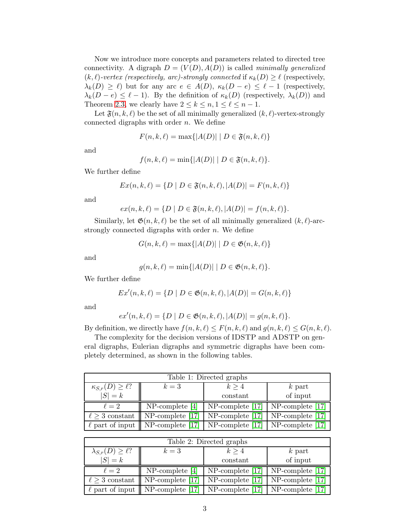Now we introduce more concepts and parameters related to directed tree connectivity. A digraph  $D = (V(D), A(D))$  is called *minimally generalized*  $(k, \ell)$ *-vertex (respectively, arc)-strongly connected* if  $\kappa_k(D) \geq \ell$  (respectively,  $\lambda_k(D) \geq \ell$ ) but for any arc  $e \in A(D)$ ,  $\kappa_k(D-e) \leq \ell-1$  (respectively,  $\lambda_k(D-e) \leq \ell-1$ . By the definition of  $\kappa_k(D)$  (respectively,  $\lambda_k(D)$ ) and Theorem [2.3,](#page-4-0) we clearly have  $2 \leq k \leq n, 1 \leq \ell \leq n-1$ .

Let  $\mathfrak{F}(n, k, \ell)$  be the set of all minimally generalized  $(k, \ell)$ -vertex-strongly connected digraphs with order  $n$ . We define

$$
F(n,k,\ell) = \max\{|A(D)| \mid D \in \mathfrak{F}(n,k,\ell)\}\
$$

and

$$
f(n,k,\ell) = \min\{|A(D)| \mid D \in \mathfrak{F}(n,k,\ell)\}.
$$

We further define

$$
Ex(n, k, \ell) = \{ D \mid D \in \mathfrak{F}(n, k, \ell), |A(D)| = F(n, k, \ell) \}
$$

and

$$
ex(n, k, \ell) = \{D \mid D \in \mathfrak{F}(n, k, \ell), |A(D)| = f(n, k, \ell)\}.
$$

Similarly, let  $\mathfrak{G}(n, k, \ell)$  be the set of all minimally generalized  $(k, \ell)$ -arcstrongly connected digraphs with order  $n$ . We define

$$
G(n,k,\ell) = \max\{|A(D)| \mid D \in \mathfrak{G}(n,k,\ell)\}\
$$

and

$$
g(n,k,\ell) = \min\{|A(D)| \mid D \in \mathfrak{G}(n,k,\ell)\}.
$$

We further define

$$
Ex'(n, k, \ell) = \{ D \mid D \in \mathfrak{G}(n, k, \ell), |A(D)| = G(n, k, \ell) \}
$$

and

$$
ex'(n, k, \ell) = \{ D \mid D \in \mathfrak{G}(n, k, \ell), |A(D)| = g(n, k, \ell) \}.
$$

By definition, we directly have  $f(n, k, \ell) \leq F(n, k, \ell)$  and  $g(n, k, \ell) \leq G(n, k, \ell)$ .

The complexity for the decision versions of IDSTP and ADSTP on general digraphs, Eulerian digraphs and symmetric digraphs have been completely determined, as shown in the following tables.

| Table 1: Directed graphs      |                                                                                |                                        |          |
|-------------------------------|--------------------------------------------------------------------------------|----------------------------------------|----------|
| $\kappa_{S,r}(D) \geq \ell$ ? | $k=3$                                                                          | k > 4                                  | $k$ part |
| $ S =k$                       |                                                                                | constant                               | of input |
| $\ell=2$                      | $NP$ -complete [4]                                                             | $NP$ -complete [17]   NP-complete [17] |          |
| $\ell \geq 3$ constant        | $\parallel$ NP-complete [17]                                                   | NP-complete $[17]$ NP-complete $[17]$  |          |
|                               | $\ell$ part of input    NP-complete [17]   NP-complete [17]   NP-complete [17] |                                        |          |

| Table 2: Directed graphs       |                                                                                |                                                                   |          |
|--------------------------------|--------------------------------------------------------------------------------|-------------------------------------------------------------------|----------|
| $\lambda_{S,r}(D) \geq \ell$ ? | $k=3$                                                                          | k > 4                                                             | $k$ part |
| $ S =k$                        |                                                                                | constant                                                          | of input |
| $\ell=2$                       | $NP$ -complete [4]                                                             | $\vert$ NP-complete $\vert 17 \vert$ NP-complete $\vert 17 \vert$ |          |
| $\ell > 3$ constant            | $NP$ -complete [17]                                                            | NP-complete $[17]$ NP-complete $[17]$                             |          |
|                                | $\ell$ part of input    NP-complete [17]   NP-complete [17]   NP-complete [17] |                                                                   |          |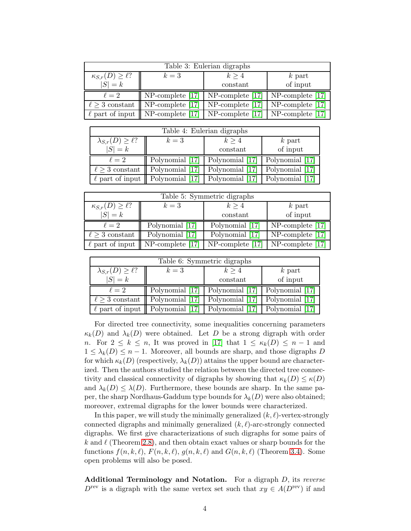| Table 3: Eulerian digraphs    |       |                                                           |          |
|-------------------------------|-------|-----------------------------------------------------------|----------|
| $\kappa_{S,r}(D) \geq \ell$ ? | $k=3$ | k > 4                                                     | $k$ part |
| $ S =k$                       |       | constant                                                  | of input |
|                               |       |                                                           |          |
| $\ell=2$                      |       | NP-complete $[17]$ NP-complete $[17]$ NP-complete $[17]$  |          |
| $\ell > 3$ constant           |       | $NP$ -complete [17]   NP-complete [17]   NP-complete [17] |          |

| Table 4: Eulerian digraphs     |                                 |                 |                 |
|--------------------------------|---------------------------------|-----------------|-----------------|
| $\lambda_{S,r}(D) \geq \ell$ ? | $k=3$                           | k > 4           | $k$ part        |
| $ S =k$                        |                                 | constant        | of input        |
| $\ell=2$                       | Polynomial [17] Polynomial [17] |                 | Polynomial [17] |
| $\ell \geq 3$ constant         | Polynomial [17]                 | Polynomial [17] | Polynomial [17] |
| $\ell$ part of input           | Polynomial [17] Polynomial [17] |                 | Polynomial [17] |

| Table 5: Symmetric digraphs   |                 |                            |                       |
|-------------------------------|-----------------|----------------------------|-----------------------|
| $\kappa_{S,r}(D) \geq \ell$ ? | $k=3$           | k > 4                      | $k$ part              |
| $ S =k$                       |                 | constant                   | of input              |
| $\ell=2$                      | Polynomial [17] | Polynomial [17]            | $NP$ -complete [17]   |
| $\ell \geq 3$ constant        | Polynomial [17] | Polynomial $\overline{17}$ | $NP$ -complete $[17]$ |
| $\ell$ part of input          | NP-complete     | $NP$ -complete [17]        | $NP$ -complete [17]   |

| Table 6: Symmetric digraphs    |                                 |          |                 |
|--------------------------------|---------------------------------|----------|-----------------|
| $\lambda_{S,r}(D) \geq \ell$ ? | $k=3$                           | k > 4    | $k$ part        |
| $ S =k$                        |                                 | constant | of input        |
| $\ell=2$                       | Polynomial [17] Polynomial [17] |          | Polynomial [17] |
| $\ell > 3$ constant            | Polynomial [17] Polynomial [17] |          | Polynomial [17] |
| $\ell$ part of input           | Polynomial [17] Polynomial [17] |          | Polynomial [17] |

For directed tree connectivity, some inequalities concerning parameters  $\kappa_k(D)$  and  $\lambda_k(D)$  were obtained. Let D be a strong digraph with order n. For  $2 \leq k \leq n$ , It was proved in [\[17\]](#page-14-1) that  $1 \leq \kappa_k(D) \leq n-1$  and  $1 \leq \lambda_k(D) \leq n-1$ . Moreover, all bounds are sharp, and those digraphs D for which  $\kappa_k(D)$  (respectively,  $\lambda_k(D)$ ) attains the upper bound are characterized. Then the authors studied the relation between the directed tree connectivity and classical connectivity of digraphs by showing that  $\kappa_k(D) \leq \kappa(D)$ and  $\lambda_k(D) \leq \lambda(D)$ . Furthermore, these bounds are sharp. In the same paper, the sharp Nordhaus-Gaddum type bounds for  $\lambda_k(D)$  were also obtained; moreover, extremal digraphs for the lower bounds were characterized.

In this paper, we will study the minimally generalized  $(k, \ell)$ -vertex-strongly connected digraphs and minimally generalized  $(k, \ell)$ -arc-strongly connected digraphs. We first give characterizations of such digraphs for some pairs of k and  $\ell$  (Theorem [2.8\)](#page-6-0), and then obtain exact values or sharp bounds for the functions  $f(n, k, \ell)$ ,  $F(n, k, \ell)$ ,  $g(n, k, \ell)$  and  $G(n, k, \ell)$  (Theorem [3.4\)](#page-9-0). Some open problems will also be posed.

Additional Terminology and Notation. For a digraph D, its *reverse*  $D^{\text{rev}}$  is a digraph with the same vertex set such that  $xy \in A(D^{\text{rev}})$  if and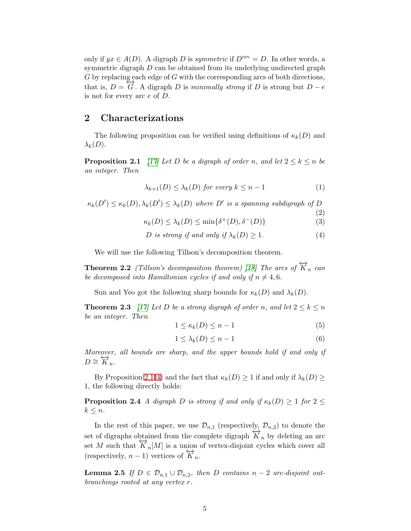only if  $yx \in A(D)$ . A digraph D is *symmetric* if  $D^{\text{rev}} = D$ . In other words, a symmetric digraph  $D$  can be obtained from its underlying undirected graph  $G$  by replacing each edge of  $G$  with the corresponding arcs of both directions, that is,  $D = \overline{G}$ . A digraph D is *minimally strong* if D is strong but  $D - e$ is not for every arc e of D.

## 2 Characterizations

<span id="page-4-1"></span>The following proposition can be verified using definitions of  $\kappa_k(D)$  and  $\lambda_k(D)$ .

**Proposition 2.1** *[\[17\]](#page-14-1) Let D be a digraph of order n, and let*  $2 \leq k \leq n$  *be an integer. Then*

<span id="page-4-7"></span>
$$
\lambda_{k+1}(D) \le \lambda_k(D) \text{ for every } k \le n-1
$$
 (1)

 $\kappa_k(D') \leq \kappa_k(D), \lambda_k(D') \leq \lambda_k(D)$  where D' is a spanning subdigraph of D

<span id="page-4-5"></span>
$$
\kappa_k(D) \le \lambda_k(D) \le \min\{\delta^+(D), \delta^-(D)\}\tag{3}
$$

<span id="page-4-6"></span><span id="page-4-0"></span>(2)

<span id="page-4-2"></span>D *is strong if and only if*  $\lambda_k(D) \geq 1$ . (4)

We will use the following Tillson's decomposition theorem.

**Theorem 2.2** *(Tillson's decomposition theorem) [18] The arcs of*  $\overleftrightarrow{K}_n$  *can be decomposed into Hamiltonian cycles if and only if*  $n \neq 4, 6$ *.* 

Sun and Yeo got the following sharp bounds for  $\kappa_k(D)$  and  $\lambda_k(D)$ .

**Theorem 2.3** *[\[17\]](#page-14-1) Let D be a strong digraph of order n, and let*  $2 \leq k \leq n$ *be an integer. Then*

$$
1 \le \kappa_k(D) \le n - 1 \tag{5}
$$

<span id="page-4-4"></span>
$$
1 \le \lambda_k(D) \le n - 1 \tag{6}
$$

*Moreover, all bounds are sharp, and the upper bounds hold if and only if*  $D \cong \overleftrightarrow{K}_n$ .

By Proposition [2.1](#page-4-1)[\(4\)](#page-4-2) and the fact that  $\kappa_k(D) \geq 1$  if and only if  $\lambda_k(D) \geq$ 1, the following directly holds:

**Proposition 2.4** *A digraph D is strong if and only if*  $\kappa_k(D) \geq 1$  *for*  $2 \leq$  $k \leq n$ .

In the rest of this paper, we use  $\mathcal{D}_{n,1}$  (respectively,  $\mathcal{D}_{n,2}$ ) to denote the set of digraphs obtained from the complete digraph  $\overleftrightarrow{K}_n$  by deleting an arc set M such that  $\overline{K}_n[M]$  is a union of vertex-disjoint cycles which cover all (respectively,  $n-1$ ) vertices of  $\overleftrightarrow{K}_n$ .

<span id="page-4-3"></span>**Lemma 2.5** *If*  $D$  ∈  $\mathcal{D}_{n,1} \cup \mathcal{D}_{n,2}$ , then  $D$  contains  $n-2$  *arc-disjoint outbranchings rooted at any vertex* r*.*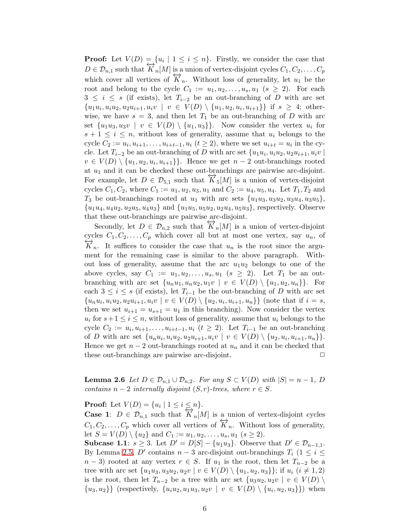**Proof:** Let  $V(D) = \{u_i \mid 1 \leq i \leq n\}$ . Firstly, we consider the case that  $D \in \mathcal{D}_{n,1}$  such that  $\overline{K}_n[M]$  is a union of vertex-disjoint cycles  $C_1, C_2, \ldots, C_p$ which cover all vertices of  $\overline{K}_n$ . Without loss of generality, let  $u_1$  be the root and belong to the cycle  $C_1 := u_1, u_2, \ldots, u_s, u_1 \ (s \geq 2)$ . For each  $3 \leq i \leq s$  (if exists), let  $T_{i-2}$  be an out-branching of D with arc set  ${u_1u_i, u_iu_2, u_2u_{i+1}, u_iv \mid v \in V(D) \setminus {u_1, u_2, u_i, u_{i+1}}\}$  if  $s \geq 4$ ; otherwise, we have  $s = 3$ , and then let  $T_1$  be an out-branching of D with arc set  $\{u_1u_3, u_3v \mid v \in V(D) \setminus \{u_1, u_3\}\}\.$  Now consider the vertex  $u_i$  for  $s + 1 \leq i \leq n$ , without loss of generality, assume that  $u_i$  belongs to the cycle  $C_2 := u_i, u_{i+1}, \ldots, u_{i+t-1}, u_i \ (t \geq 2)$ , where we set  $u_{i+t} = u_i$  in the cycle. Let  $T_{i-2}$  be an out-branching of D with arc set  $\{u_1u_i, u_iu_2, u_2u_{i+1}, u_iv \mid$  $v \in V(D) \setminus \{u_1, u_2, u_i, u_{i+1}\}\.$  Hence we get  $n-2$  out-branchings rooted at  $u_1$  and it can be checked these out-branchings are pairwise arc-disjoint. For example, let  $D \in \mathcal{D}_{5,1}$  such that  $\overleftrightarrow{K}_5[M]$  is a union of vertex-disjoint cycles  $C_1, C_2$ , where  $C_1 := u_1, u_2, u_3, u_1$  and  $C_2 := u_4, u_5, u_4$ . Let  $T_1, T_2$  and  $T_3$  be out-branchings rooted at  $u_1$  with arc sets  $\{u_1u_3, u_3u_2, u_3u_4, u_3u_5\}$ ,  ${u_1u_4, u_4u_2, u_2u_5, u_4u_3}$  and  ${u_1u_5, u_5u_2, u_2u_4, u_5u_3}$ , respectively. Observe that these out-branchings are pairwise arc-disjoint.

Secondly, let  $D \in \mathcal{D}_{n,2}$  such that  $\overleftrightarrow{K}_n[M]$  is a union of vertex-disjoint cycles  $C_1, C_2, \ldots, C_p$  which cover all but at most one vertex, say  $u_n$ , of  $\overline{K}_n$ . It suffices to consider the case that  $u_n$  is the root since the argument for the remaining case is similar to the above paragraph. Without loss of generality, assume that the arc  $u_1u_2$  belongs to one of the above cycles, say  $C_1 := u_1, u_2, \ldots, u_s, u_1 \ (s \geq 2)$ . Let  $T_1$  be an outbranching with arc set  $\{u_nu_1, u_nu_2, u_1v \mid v \in V(D) \setminus \{u_1, u_2, u_n\}\}.$  For each  $3 \leq i \leq s$  (if exists), let  $T_{i-1}$  be the out-branching of D with arc set  ${u_nu_i, u_iu_2, u_2u_{i+1}, u_iv \mid v \in V(D) \setminus {u_2, u_i, u_{i+1}, u_n} }$  (note that if  $i = s$ , then we set  $u_{i+1} = u_{s+1} = u_1$  in this branching). Now consider the vertex  $u_i$  for  $s+1 \leq i \leq n$ , without loss of generality, assume that  $u_i$  belongs to the cycle  $C_2 := u_i, u_{i+1}, \ldots, u_{i+t-1}, u_i \ (t \geq 2)$ . Let  $T_{i-1}$  be an out-branching of D with arc set  $\{u_nu_i, u_iu_2, u_2u_{i+1}, u_iv \mid v \in V(D) \setminus \{u_2, u_i, u_{i+1}, u_n\}\}.$ Hence we get  $n-2$  out-branchings rooted at  $u_n$  and it can be checked that these out-branchings are pairwise arc-disjoint. □

<span id="page-5-0"></span>**Lemma 2.6** *Let*  $D \in \mathcal{D}_{n,1} \cup \mathcal{D}_{n,2}$ *. For any*  $S \subset V(D)$  *with*  $|S| = n-1$ *, D contains*  $n-2$  *internally disjoint*  $(S, r)$ *-trees, where*  $r \in S$ *.* 

**Proof:** Let  $V(D) = \{u_i \mid 1 \leq i \leq n\}$ .<br>**Case 1**:  $D \in \mathcal{D}_{n,1}$  such that  $K_n[M]$  is a union of vertex-disjoint cycles  $C_1, C_2, \ldots, C_p$  which cover all vertices of  $\overleftrightarrow{K}_n$ . Without loss of generality, let  $S = V(D) \setminus \{u_2\}$  and  $C_1 := u_1, u_2, \ldots, u_s, u_1 \ (s \geq 2)$ .

**Subcase 1.1**:  $s \geq 3$ . Let  $D' = D[S] - \{u_1u_3\}$ . Observe that  $D' \in \mathcal{D}_{n-1,1}$ . By Lemma [2.5,](#page-4-3)  $D'$  contains  $n-3$  arc-disjoint out-branchings  $T_i$  ( $1 \leq i \leq$  $n-3$ ) rooted at any vertex  $r \in S$ . If  $u_1$  is the root, then let  $T_{n-2}$  be a tree with arc set  $\{u_1u_3, u_3u_2, u_2v \mid v \in V(D) \setminus \{u_1, u_2, u_3\}\};$  if  $u_i$   $(i \neq 1, 2)$ is the root, then let  $T_{n-2}$  be a tree with arc set  $\{u_3u_2, u_2v \mid v \in V(D) \setminus$  ${u_3, u_2}$  (respectively,  ${u_i u_2, u_1 u_3, u_2 v \mid v \in V(D) \setminus {u_i, u_2, u_3}}$ ) when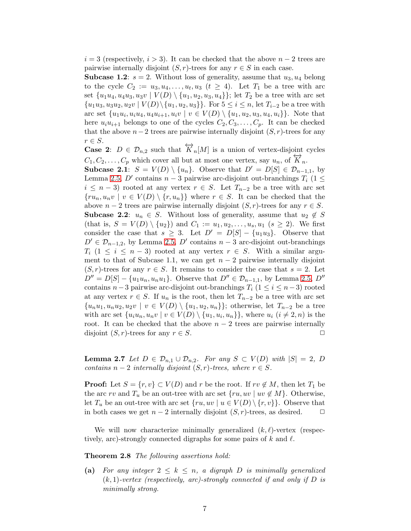$i = 3$  (respectively,  $i > 3$ ). It can be checked that the above  $n - 2$  trees are pairwise internally disjoint  $(S, r)$ -trees for any  $r \in S$  in each case.

**Subcase 1.2:**  $s = 2$ . Without loss of generality, assume that  $u_3, u_4$  belong to the cycle  $C_2 := u_3, u_4, \ldots, u_t, u_3 \ (t \geq 4)$ . Let  $T_1$  be a tree with arc set  $\{u_1u_4, u_4u_3, u_3v \mid V(D) \setminus \{u_1, u_2, u_3, u_4\}\};$  let  $T_2$  be a tree with arc set  $\{u_1u_3, u_3u_2, u_2v \mid V(D)\setminus\{u_1, u_2, u_3\}\}.$  For  $5 \leq i \leq n$ , let  $T_{i-2}$  be a tree with arc set  $\{u_1u_i, u_iu_4, u_4u_{i+1}, u_iv \mid v \in V(D) \setminus \{u_1, u_2, u_3, u_4, u_i\}\}.$  Note that here  $u_i u_{i+1}$  belongs to one of the cycles  $C_2, C_3, \ldots, C_p$ . It can be checked that the above  $n-2$  trees are pairwise internally disjoint  $(S, r)$ -trees for any  $r \in S$ .

**Case 2:**  $D \in \mathcal{D}_{n,2}$  such that  $\overleftrightarrow{K}_n[M]$  is a union of vertex-disjoint cycles  $C_1, C_2, \ldots, C_p$  which cover all but at most one vertex, say  $u_n$ , of  $\overleftrightarrow{K}_n$ .

**Subcase 2.1:**  $S = V(D) \setminus \{u_n\}$ . Observe that  $D' = D[S] \in \mathcal{D}_{n-1,1}$ , by Lemma [2.5,](#page-4-3)  $D'$  contains  $n-3$  pairwise arc-disjoint out-branchings  $T_i$  (1  $\leq$  $i \leq n-3$ ) rooted at any vertex  $r \in S$ . Let  $T_{n-2}$  be a tree with arc set  ${ru_n, u_n v \mid v \in V(D) \setminus {r, u_n}}$  where  $r \in S$ . It can be checked that the above  $n-2$  trees are pairwise internally disjoint  $(S, r)$ -trees for any  $r \in S$ . Subcase 2.2:  $u_n \in S$ . Without loss of generality, assume that  $u_2 \notin S$ (that is,  $S = V(D) \setminus \{u_2\}$ ) and  $C_1 := u_1, u_2, \ldots, u_s, u_1 \ (s \geq 2)$ . We first consider the case that  $s \geq 3$ . Let  $D' = D[S] - \{u_1u_3\}$ . Observe that  $D' \in \mathcal{D}_{n-1,2}$ , by Lemma [2.5,](#page-4-3) D' contains  $n-3$  arc-disjoint out-branchings  $T_i$  (1  $\leq i \leq n-3$ ) rooted at any vertex  $r \in S$ . With a similar argument to that of Subcase 1.1, we can get  $n-2$  pairwise internally disjoint  $(S, r)$ -trees for any  $r \in S$ . It remains to consider the case that  $s = 2$ . Let  $D'' = D[S] - \{u_1u_n, u_nu_1\}.$  Observe that  $D'' \in \mathcal{D}_{n-1,1}$ , by Lemma [2.5,](#page-4-3)  $D''$ contains  $n-3$  pairwise arc-disjoint out-branchings  $T_i$  (1 ≤  $i \leq n-3$ ) rooted at any vertex  $r \in S$ . If  $u_n$  is the root, then let  $T_{n-2}$  be a tree with arc set  ${u_nu_1, u_nu_2, u_2v} \mid v \in V(D) \setminus {u_1, u_2, u_n}$ ; otherwise, let  $T_{n-2}$  be a tree with arc set  $\{u_iu_n, u_nv \mid v \in V(D) \setminus \{u_1, u_i, u_n\}\}\$ , where  $u_i$   $(i \neq 2, n)$  is the root. It can be checked that the above  $n-2$  trees are pairwise internally disjoint  $(S, r)$ -trees for any  $r \in S$ .

<span id="page-6-1"></span>**Lemma 2.7** *Let*  $D \in \mathcal{D}_{n,1} \cup \mathcal{D}_{n,2}$ *. For any*  $S \subset V(D)$  *with*  $|S| = 2$ *,*  $D$ *contains*  $n-2$  *internally disjoint*  $(S, r)$ *-trees, where*  $r \in S$ *.* 

**Proof:** Let  $S = \{r, v\} \subset V(D)$  and r be the root. If  $rv \notin M$ , then let  $T_1$  be the arc rv and  $T_u$  be an out-tree with arc set  $\{ru, uv \mid uv \notin M\}$ . Otherwise, let  $T_u$  be an out-tree with arc set  $\{ru, uv \mid u \in V(D) \setminus \{r, v\}\}\.$  Observe that in both cases we get  $n-2$  internally disjoint  $(S, r)$ -trees, as desired.  $\Box$ 

<span id="page-6-0"></span>We will now characterize minimally generalized  $(k, \ell)$ -vertex (respectively, arc)-strongly connected digraphs for some pairs of k and  $\ell$ .

Theorem 2.8 *The following assertions hold:*

(a) For any integer  $2 \leq k \leq n$ , a digraph D is minimally generalized (k, 1)*-vertex (respectively, arc)-strongly connected if and only if* D *is minimally strong.*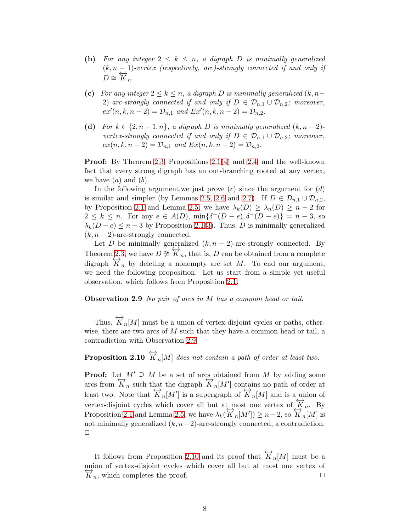- (b) For any integer  $2 \leq k \leq n$ , a digraph D is minimally generalized (k, n − 1)*-vertex (respectively, arc)-strongly connected if and only if*  $D \cong \overleftrightarrow{K}_n$ .
- (c) For any integer  $2 \leq k \leq n$ , a digraph D is minimally generalized  $(k, n-\ell)$ 2)*-arc-strongly connected if and only if*  $D \in \mathcal{D}_{n,1} \cup \mathcal{D}_{n,2}$ *; moreover,*  $ex'(n, k, n-2) = \mathcal{D}_{n,1}$  and  $Ex'(n, k, n-2) = \mathcal{D}_{n,2}$ .
- (d) *For*  $k \in \{2, n-1, n\}$ , a digraph D is minimally generalized  $(k, n-2)$ *vertex-strongly connected if and only if*  $D \in \mathcal{D}_{n,1} \cup \mathcal{D}_{n,2}$ *; moreover,*  $ex(n, k, n-2) = \mathcal{D}_{n,1}$  and  $Ex(n, k, n-2) = \mathcal{D}_{n,2}$ .

Proof: By Theorem [2.3,](#page-4-0) Propositions [2.1](#page-4-1)[\(4\)](#page-4-2) and [2.4,](#page-4-4) and the well-known fact that every strong digraph has an out-branching rooted at any vertex, we have  $(a)$  and  $(b)$ .

In the following argument, we just prove  $(c)$  since the argument for  $(d)$ is similar and simpler (by Lemmas [2.5,](#page-4-3) [2.6](#page-5-0) and [2.7\)](#page-6-1). If  $D \in \mathcal{D}_{n,1} \cup \mathcal{D}_{n,2}$ , by Proposition [2.1](#page-4-1) and Lemma [2.5,](#page-4-3) we have  $\lambda_k(D) \geq \lambda_n(D) \geq n-2$  for  $2 \leq k \leq n$ . For any  $e \in A(D)$ ,  $\min{\{\delta^+(D-e), \delta^-(D-e)\}} = n-3$ , so  $\lambda_k(D-e) \leq n-3$  by Proposition [2.1\(](#page-4-1)[3\)](#page-4-5). Thus, D is minimally generalized  $(k, n - 2)$ -arc-strongly connected.

Let D be minimally generalized  $(k, n - 2)$ -arc-strongly connected. By Theorem [2.3,](#page-4-0) we have  $D \not\cong \overleftrightarrow{K}_n$ , that is, D can be obtained from a complete digraph  $\overleftrightarrow{K}_n$  by deleting a nonempty arc set M. To end our argument, we need the following proposition. Let us start from a simple yet useful observation, which follows from Proposition [2.1.](#page-4-1)

#### <span id="page-7-0"></span>Observation 2.9 *No pair of arcs in* M *has a common head or tail.*

Thus,  $\overleftrightarrow{K}_n[M]$  must be a union of vertex-disjoint cycles or paths, otherwise, there are two arcs of  $M$  such that they have a common head or tail, a contradiction with Observation [2.9.](#page-7-0)

## <span id="page-7-1"></span>**Proposition 2.10**  $\overleftrightarrow{K}_n[M]$  *does not contain a path of order at least two.*

**Proof:** Let  $M' \supseteq M$  be a set of arcs obtained from M by adding some arcs from  $K_n$  such that the digraph  $K_n[M']$  contains no path of order at least two. Note that  $\overleftrightarrow{K}_n[M']$  is a supergraph of  $\overleftrightarrow{K}_n[M]$  and is a union of vertex-disjoint cycles which cover all but at most one vertex of  $\overleftrightarrow{K}_n$ . By Proposition [2.1](#page-4-1) and Lemma [2.5,](#page-4-3) we have  $\lambda_k(\overleftrightarrow{K}_n[M']) \geq n-2$ , so  $\overleftrightarrow{K}_n[M]$  is not minimally generalized  $(k, n-2)$ -arc-strongly connected, a contradiction.  $\Box$ 

It follows from Proposition [2.10](#page-7-1) and its proof that  $\overleftrightarrow{K}_n[M]$  must be a union of vertex-disjoint cycles which cover all but at most one vertex of  $\overline{K}_n$ , which completes the proof.  $\Box$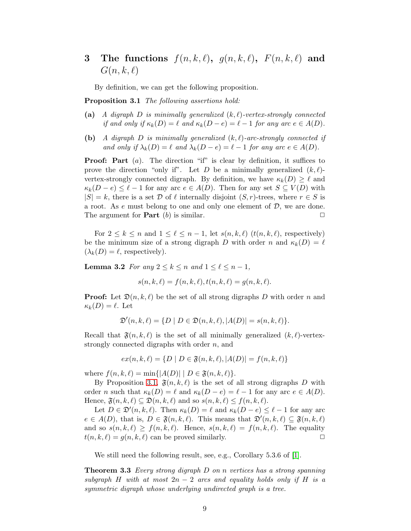3 The functions  $f(n, k, \ell)$ ,  $g(n, k, \ell)$ ,  $F(n, k, \ell)$  and  $G(n, k, \ell)$ 

<span id="page-8-0"></span>By definition, we can get the following proposition.

Proposition 3.1 *The following assertions hold:*

- (a) *A digraph D is minimally generalized*  $(k, \ell)$ -vertex-strongly connected *if and only if*  $\kappa_k(D) = \ell$  *and*  $\kappa_k(D-e) = \ell - 1$  *for any arc*  $e \in A(D)$ *.*
- (b) *A digraph D is minimally generalized*  $(k, \ell)$ -arc-strongly connected if *and only if*  $\lambda_k(D) = \ell$  *and*  $\lambda_k(D - e) = \ell - 1$  *for any arc*  $e \in A(D)$ *.*

**Proof:** Part  $(a)$ . The direction "if" is clear by definition, it suffices to prove the direction "only if". Let D be a minimally generalized  $(k, \ell)$ vertex-strongly connected digraph. By definition, we have  $\kappa_k(D) \geq \ell$  and  $\kappa_k(D-e) \leq \ell-1$  for any arc  $e \in A(D)$ . Then for any set  $S \subseteq V(D)$  with  $|S| = k$ , there is a set  $D$  of  $\ell$  internally disjoint  $(S, r)$ -trees, where  $r \in S$  is a root. As  $e$  must belong to one and only one element of  $D$ , we are done. The argument for **Part**  $(b)$  is similar.  $\square$ 

For  $2 \leq k \leq n$  and  $1 \leq \ell \leq n-1$ , let  $s(n, k, \ell)$   $(t(n, k, \ell))$ , respectively) be the minimum size of a strong digraph D with order n and  $\kappa_k(D) = \ell$  $(\lambda_k(D) = \ell$ , respectively).

<span id="page-8-1"></span>**Lemma 3.2** *For any*  $2 \leq k \leq n$  *and*  $1 \leq \ell \leq n-1$ *,* 

$$
s(n,k,\ell) = f(n,k,\ell), t(n,k,\ell) = g(n,k,\ell).
$$

**Proof:** Let  $\mathfrak{D}(n, k, \ell)$  be the set of all strong digraphs D with order n and  $\kappa_k(D) = \ell$ . Let

$$
\mathfrak{D}'(n,k,\ell) = \{ D \mid D \in \mathfrak{D}(n,k,\ell), |A(D)| = s(n,k,\ell) \}.
$$

Recall that  $\mathfrak{F}(n, k, \ell)$  is the set of all minimally generalized  $(k, \ell)$ -vertexstrongly connected digraphs with order  $n$ , and

$$
ex(n, k, \ell) = \{D \mid D \in \mathfrak{F}(n, k, \ell), |A(D)| = f(n, k, \ell)\}\
$$

where  $f(n, k, \ell) = \min\{|A(D)| \mid D \in \mathfrak{F}(n, k, \ell)\}.$ 

By Proposition [3.1,](#page-8-0)  $\mathfrak{F}(n, k, \ell)$  is the set of all strong digraphs D with order n such that  $\kappa_k(D) = \ell$  and  $\kappa_k(D - e) = \ell - 1$  for any arc  $e \in A(D)$ . Hence,  $\mathfrak{F}(n, k, \ell) \subseteq \mathfrak{D}(n, k, \ell)$  and so  $s(n, k, \ell) \leq f(n, k, \ell)$ .

Let  $D \in \mathfrak{D}'(n,k,\ell)$ . Then  $\kappa_k(D) = \ell$  and  $\kappa_k(D - e) \leq \ell - 1$  for any arc  $e \in A(D)$ , that is,  $D \in \mathfrak{F}(n,k,\ell)$ . This means that  $\mathfrak{D}'(n,k,\ell) \subseteq \mathfrak{F}(n,k,\ell)$ and so  $s(n, k, \ell) \ge f(n, k, \ell)$ . Hence,  $s(n, k, \ell) = f(n, k, \ell)$ . The equality  $t(n, k, \ell) = g(n, k, \ell)$  can be proved similarly.

<span id="page-8-2"></span>We still need the following result, see, e.g., Corollary 5.3.6 of [\[1\]](#page-13-0).

Theorem 3.3 *Every strong digraph* D *on* n *vertices has a strong spanning subgraph* H *with at most*  $2n - 2$  *arcs and equality holds only if* H *is a symmetric digraph whose underlying undirected graph is a tree.*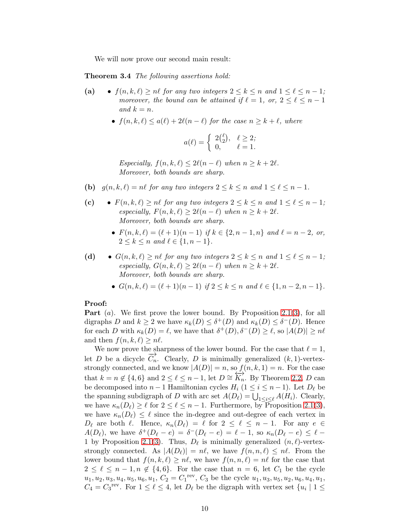<span id="page-9-0"></span>We will now prove our second main result:

Theorem 3.4 *The following assertions hold:*

- (a)  $f(n, k, \ell) \geq n\ell$  *for any two integers*  $2 \leq k \leq n$  *and*  $1 \leq \ell \leq n-1$ *; moreover, the bound can be attained if*  $\ell = 1$ *, or,*  $2 \leq \ell \leq n-1$  $and k = n.$ 
	- $f(n, k, \ell) \leq a(\ell) + 2\ell(n \ell)$  *for the case*  $n \geq k + \ell$ *, where*

$$
a(\ell) = \begin{cases} 2\binom{\ell}{2}, & \ell \ge 2; \\ 0, & \ell = 1. \end{cases}
$$

*Especially,*  $f(n, k, \ell) \leq 2\ell(n - \ell)$  when  $n \geq k + 2\ell$ . *Moreover, both bounds are sharp.*

- (b)  $g(n, k, \ell) = n\ell$  *for any two integers*  $2 \leq k \leq n$  *and*  $1 \leq \ell \leq n-1$ *.*
- (c)  $F(n, k, \ell) \geq n\ell$  *for any two integers*  $2 \leq k \leq n$  *and*  $1 \leq \ell \leq n-1$ *; especially,*  $F(n, k, \ell) \geq 2\ell(n - \ell)$  *when*  $n \geq k + 2\ell$ *. Moreover, both bounds are sharp.*
	- $F(n, k, \ell) = (\ell + 1)(n 1)$  *if*  $k \in \{2, n 1, n\}$  *and*  $\ell = n 2$ *, or,*  $2 \leq k \leq n$  and  $\ell \in \{1, n-1\}.$
- (d)  $G(n, k, \ell) \geq n\ell$  *for any two integers*  $2 \leq k \leq n$  *and*  $1 \leq \ell \leq n-1$ *; especially,*  $G(n, k, \ell) \geq 2\ell(n - \ell)$  when  $n \geq k + 2\ell$ . *Moreover, both bounds are sharp.*
	- $G(n, k, \ell) = (\ell + 1)(n 1)$  *if*  $2 \le k \le n$  *and*  $\ell \in \{1, n 2, n 1\}.$

#### Proof:

**Part** (a). We first prove the lower bound. By Proposition [2.1\(](#page-4-1)[3\)](#page-4-5), for all digraphs D and  $k \geq 2$  we have  $\kappa_k(D) \leq \delta^+(D)$  and  $\kappa_k(D) \leq \delta^-(D)$ . Hence for each D with  $\kappa_k(D) = \ell$ , we have that  $\delta^+(D), \delta^-(D) \ge \ell$ , so  $|A(D)| \ge n\ell$ and then  $f(n, k, \ell) \geq n\ell$ .

We now prove the sharpness of the lower bound. For the case that  $\ell = 1$ , let D be a dicycle  $\overrightarrow{C_n}$ . Clearly, D is minimally generalized  $(k, 1)$ -vertexstrongly connected, and we know  $|A(D)| = n$ , so  $f(n, k, 1) = n$ . For the case that  $k = n \notin \{4, 6\}$  and  $2 \leq \ell \leq n - 1$ , let  $D \cong \overline{K_n}$ . By Theorem [2.2,](#page-4-6) D can be decomposed into  $n-1$  Hamiltonian cycles  $H_i$  ( $1 \leq i \leq n-1$ ). Let  $D_{\ell}$  be the spanning subdigraph of D with arc set  $A(D_\ell) = \bigcup_{1 \leq i \leq \ell} A(H_i)$ . Clearly, we have  $\kappa_n(D_\ell) \geq \ell$  for  $2 \leq \ell \leq n-1$ . Furthermore, by Proposition [2.1\(](#page-4-1)[3\)](#page-4-5), we have  $\kappa_n(D_\ell) \leq \ell$  since the in-degree and out-degree of each vertex in  $D_{\ell}$  are both  $\ell$ . Hence,  $\kappa_n(D_{\ell}) = \ell$  for  $2 \leq \ell \leq n-1$ . For any  $e \in$  $A(D_\ell)$ , we have  $\delta^+(D_\ell - e) = \delta^-(D_\ell - e) = \ell - 1$ , so  $\kappa_n(D_\ell - e) \leq \ell - 1$ 1 by Proposition [2.1](#page-4-1)[\(3\)](#page-4-5). Thus,  $D_{\ell}$  is minimally generalized  $(n, \ell)$ -vertexstrongly connected. As  $|A(D_\ell)| = n\ell$ , we have  $f(n, n, \ell) \leq n\ell$ . From the lower bound that  $f(n, k, \ell) \geq n\ell$ , we have  $f(n, n, \ell) = n\ell$  for the case that  $2 \leq \ell \leq n-1, n \notin \{4,6\}.$  For the case that  $n=6$ , let  $C_1$  be the cycle  $u_1, u_2, u_3, u_4, u_5, u_6, u_1, C_2 = C_1^{\text{rev}}, C_3$  be the cycle  $u_1, u_3, u_5, u_2, u_6, u_4, u_1,$  $C_4 = C_3^{\text{rev}}$ . For  $1 \leq \ell \leq 4$ , let  $D_{\ell}$  be the digraph with vertex set  $\{u_i \mid 1 \leq \ell \leq 4\}$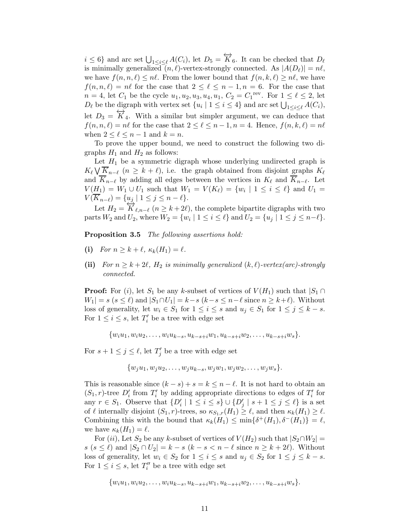$i \leq 6$ } and arc set  $\bigcup_{1 \leq i \leq \ell} A(C_i)$ , let  $D_5 = \overleftrightarrow{K}_6$ . It can be checked that  $D_{\ell}$ is minimally generalized  $(n, \ell)$ -vertex-strongly connected. As  $|A(D_{\ell})| = n\ell$ , we have  $f(n, n, \ell) \leq n\ell$ . From the lower bound that  $f(n, k, \ell) \geq n\ell$ , we have  $f(n, n, \ell) = n\ell$  for the case that  $2 \leq \ell \leq n-1, n = 6$ . For the case that  $n = 4$ , let  $C_1$  be the cycle  $u_1, u_2, u_3, u_4, u_1, C_2 = C_1^{\text{rev}}$ . For  $1 \leq \ell \leq 2$ , let  $D_{\ell}$  be the digraph with vertex set  $\{u_i \mid 1 \leq i \leq 4\}$  and arc set  $\bigcup_{1 \leq i \leq \ell} A(C_i)$ , let  $D_3 = \overleftrightarrow{K}_4$ . With a similar but simpler argument, we can deduce that  $f(n, n, \ell) = n\ell$  for the case that  $2 \leq \ell \leq n-1, n = 4$ . Hence,  $f(n, k, \ell) = n\ell$ when  $2 \leq \ell \leq n-1$  and  $k = n$ .

To prove the upper bound, we need to construct the following two digraphs  $H_1$  and  $H_2$  as follows:

Let  $H_1$  be a symmetric digraph whose underlying undirected graph is  $K_{\ell} \setminus K_{n-\ell}$   $(n \geq k+\ell)$ , i.e. the graph obtained from disjoint graphs  $K_{\ell}$ and  $K_{n-\ell}$  by adding all edges between the vertices in  $K_{\ell}$  and  $K_{n-\ell}$ . Let  $V(H_1) = W_1 \cup U_1$  such that  $W_1 = V(K_\ell) = \{w_i \mid 1 \le i \le \ell\}$  and  $U_1 =$  $V(\overline{K}_{n-\ell}) = \{u_j \mid 1 \leq j \leq n-\ell\}.$ 

<span id="page-10-0"></span>Let  $H_2 = \overline{K}_{\ell,n-\ell}$   $(n \ge k+2\ell)$ , the complete bipartite digraphs with two parts  $W_2$  and  $U_2$ , where  $W_2 = \{w_i \mid 1 \leq i \leq \ell\}$  and  $U_2 = \{u_j \mid 1 \leq j \leq n-\ell\}.$ 

Proposition 3.5 *The following assertions hold:*

- (i) *For*  $n \geq k + \ell$ ,  $\kappa_k(H_1) = \ell$ .
- (ii) *For*  $n \geq k + 2\ell$ ,  $H_2$  *is minimally generalized*  $(k, \ell)$ -vertex(arc)-strongly *connected.*

**Proof:** For  $(i)$ , let  $S_1$  be any k-subset of vertices of  $V(H_1)$  such that  $|S_1 \cap$  $W_1| = s$  ( $s \leq \ell$ ) and  $|S_1 \cap U_1| = k - s$  ( $k - s \leq n - \ell$  since  $n \geq k + \ell$ ). Without loss of generality, let  $w_i \in S_1$  for  $1 \leq i \leq s$  and  $u_j \in S_1$  for  $1 \leq j \leq k - s$ . For  $1 \leq i \leq s$ , let  $T_i'$  be a tree with edge set

$$
\{w_iu_1, w_iu_2, \ldots, w_iu_{k-s}, u_{k-s+i}w_1, u_{k-s+i}w_2, \ldots, u_{k-s+i}w_s\}.
$$

For  $s + 1 \leq j \leq \ell$ , let  $T'_j$  be a tree with edge set

$$
\{w_ju_1, w_ju_2, \ldots, w_ju_{k-s}, w_jw_1, w_jw_2, \ldots, w_jw_s\}.
$$

This is reasonable since  $(k - s) + s = k \leq n - \ell$ . It is not hard to obtain an  $(S_1, r)$ -tree  $D'_i$  from  $T'_i$  by adding appropriate directions to edges of  $T'_i$  for any  $r \in S_1$ . Observe that  $\{D'_i \mid 1 \leq i \leq s\} \cup \{D'_j \mid s+1 \leq j \leq \ell\}$  is a set of  $\ell$  internally disjoint  $(S_1, r)$ -trees, so  $\kappa_{S_1,r}(H_1) \geq \ell$ , and then  $\kappa_k(H_1) \geq \ell$ . Combining this with the bound that  $\kappa_k(H_1) \leq \min\{\delta^+(H_1), \delta^-(H_1)\} = \ell$ , we have  $\kappa_k(H_1) = \ell$ .

For (ii), Let  $S_2$  be any k-subset of vertices of  $V(H_2)$  such that  $|S_2 \cap W_2|$  = s (s  $\leq \ell$ ) and  $|S_2 \cap U_2| = k - s$  (k – s  $\lt n - \ell$  since  $n \geq k + 2\ell$ ). Without loss of generality, let  $w_i \in S_2$  for  $1 \leq i \leq s$  and  $u_j \in S_2$  for  $1 \leq j \leq k - s$ . For  $1 \leq i \leq s$ , let  $T''_i$  be a tree with edge set

$$
\{w_iu_1, w_iu_2, \ldots, w_iu_{k-s}, u_{k-s+i}w_1, u_{k-s+i}w_2, \ldots, u_{k-s+i}w_s\}.
$$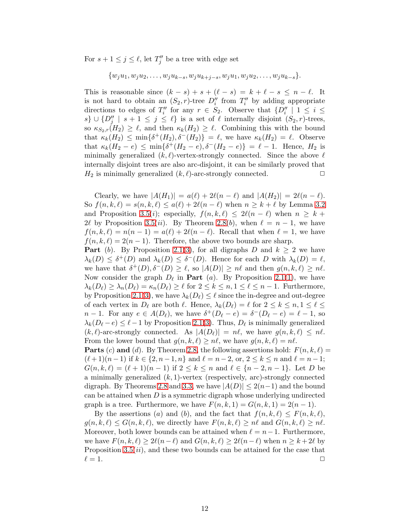For  $s + 1 \leq j \leq \ell$ , let  $T''_j$  be a tree with edge set

$$
\{w_ju_1, w_ju_2, \ldots, w_ju_{k-s}, w_ju_{k+j-s}, w_ju_1, w_ju_2, \ldots, w_ju_{k-s}\}.
$$

This is reasonable since  $(k - s) + s + (\ell - s) = k + \ell - s \leq n - \ell$ . It is not hard to obtain an  $(S_2, r)$ -tree  $D''_i$  from  $T''_i$  by adding appropriate directions to edges of  $T''_i$  for any  $r \in S_2$ . Observe that  $\{D''_i \mid 1 \leq i \leq$ s}  $\cup \{D''_j \mid s+1 \leq j \leq \ell\}$  is a set of  $\ell$  internally disjoint  $(S_2, r)$ -trees, so  $\kappa_{S_2,r}(H_2) \geq \ell$ , and then  $\kappa_k(H_2) \geq \ell$ . Combining this with the bound that  $\kappa_k(H_2) \le \min\{\delta^+(H_2), \delta^-(H_2)\} = \ell$ , we have  $\kappa_k(H_2) = \ell$ . Observe that  $\kappa_k(H_2 - e) \le \min\{\delta^+(H_2 - e), \delta^-(H_2 - e)\} = \ell - 1$ . Hence,  $H_2$  is minimally generalized  $(k, \ell)$ -vertex-strongly connected. Since the above  $\ell$ internally disjoint trees are also arc-disjoint, it can be similarly proved that  $H_2$  is minimally generalized  $(k, \ell)$ -arc-strongly connected.  $\Box$ 

Clearly, we have  $|A(H_1)| = a(\ell) + 2\ell(n - \ell)$  and  $|A(H_2)| = 2\ell(n - \ell)$ . So  $f(n, k, \ell) = s(n, k, \ell) \leq a(\ell) + 2\ell(n - \ell)$  when  $n \geq k + \ell$  by Lemma [3.2](#page-8-1) and Proposition [3.5\(](#page-10-0)i); especially,  $f(n, k, \ell) \leq 2\ell(n - \ell)$  when  $n \geq k + \ell$ 2 $\ell$  by Proposition [3.5\(](#page-10-0)*ii*). By Theorem [2.8\(](#page-6-0)*b*), when  $\ell = n - 1$ , we have  $f(n, k, \ell) = n(n-1) = a(\ell) + 2\ell(n-\ell)$ . Recall that when  $\ell = 1$ , we have  $f(n, k, \ell) = 2(n - 1)$ . Therefore, the above two bounds are sharp. **Part** (b). By Proposition [2.1\(](#page-4-1)[3\)](#page-4-5), for all digraphs D and  $k \geq 2$  we have  $\lambda_k(D) \leq \delta^+(D)$  and  $\lambda_k(D) \leq \delta^-(D)$ . Hence for each D with  $\lambda_k(D) = \ell$ , we have that  $\delta^+(D), \delta^-(D) \geq \ell$ , so  $|A(D)| \geq n\ell$  and then  $g(n, k, \ell) \geq n\ell$ . Now consider the graph  $D_{\ell}$  in **Part** (*a*). By Proposition [2.1](#page-4-1)[\(1\)](#page-4-7), we have  $\lambda_k(D_\ell) \geq \lambda_n(D_\ell) = \kappa_n(D_\ell) \geq \ell$  for  $2 \leq k \leq n, 1 \leq \ell \leq n-1$ . Furthermore, by Proposition [2.1\(](#page-4-1)[3\)](#page-4-5), we have  $\lambda_k(D_\ell) \leq \ell$  since the in-degree and out-degree of each vertex in  $D_{\ell}$  are both  $\ell$ . Hence,  $\lambda_k(D_{\ell}) = \ell$  for  $2 \leq k \leq n, 1 \leq \ell \leq$  $n-1$ . For any  $e \in A(D_{\ell})$ , we have  $\delta^{+}(D_{\ell}-e) = \delta^{-}(D_{\ell}-e) = \ell-1$ , so  $\lambda_k(D_\ell - e) \leq \ell - 1$  by Proposition [2.1](#page-4-1)[\(3\)](#page-4-5). Thus,  $D_\ell$  is minimally generalized

**Parts** (c) and (d). By Theorem [2.8,](#page-6-0) the following assertions hold:  $F(n, k, \ell) =$  $(\ell+1)(n-1)$  if  $k \in \{2, n-1, n\}$  and  $\ell = n-2$ , or,  $2 \leq k \leq n$  and  $\ell = n-1$ ;  $G(n, k, \ell) = (\ell + 1)(n - 1)$  if  $2 \leq k \leq n$  and  $\ell \in \{n - 2, n - 1\}$ . Let D be a minimally generalized  $(k, 1)$ -vertex (respectively, arc)-strongly connected digraph. By Theorems [2.8](#page-6-0) and [3.3,](#page-8-2) we have  $|A(D)| \leq 2(n-1)$  and the bound can be attained when  $D$  is a symmetric digraph whose underlying undirected graph is a tree. Furthermore, we have  $F(n, k, 1) = G(n, k, 1) = 2(n - 1)$ .

 $(k, \ell)$ -arc-strongly connected. As  $|A(D_{\ell})| = n\ell$ , we have  $g(n, k, \ell) \leq n\ell$ .

From the lower bound that  $g(n, k, \ell) \geq n\ell$ , we have  $g(n, k, \ell) = n\ell$ .

By the assertions (a) and (b), and the fact that  $f(n, k, \ell) \leq F(n, k, \ell)$ ,  $g(n, k, \ell) \leq G(n, k, \ell)$ , we directly have  $F(n, k, \ell) \geq n\ell$  and  $G(n, k, \ell) \geq n\ell$ . Moreover, both lower bounds can be attained when  $\ell = n-1$ . Furthermore, we have  $F(n, k, \ell) \geq 2\ell(n-\ell)$  and  $G(n, k, \ell) \geq 2\ell(n-\ell)$  when  $n \geq k+2\ell$  by Proposition  $3.5(ii)$ , and these two bounds can be attained for the case that  $\ell = 1.$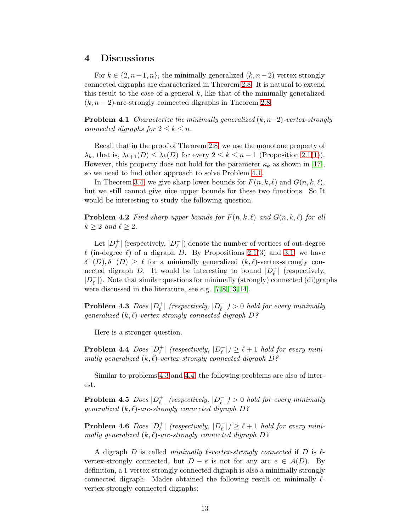### 4 Discussions

For  $k \in \{2, n-1, n\}$ , the minimally generalized  $(k, n-2)$ -vertex-strongly connected digraphs are characterized in Theorem [2.8.](#page-6-0) It is natural to extend this result to the case of a general  $k$ , like that of the minimally generalized  $(k, n-2)$ -arc-strongly connected digraphs in Theorem [2.8.](#page-6-0)

<span id="page-12-0"></span>Problem 4.1 *Characterize the minimally generalized* (k, n−2)*-vertex-strongly connected digraphs for*  $2 \leq k \leq n$ *.* 

Recall that in the proof of Theorem [2.8,](#page-6-0) we use the monotone property of  $\lambda_k$ , that is,  $\lambda_{k+1}(D) \leq \lambda_k(D)$  for every  $2 \leq k \leq n-1$  (Proposition [2.1](#page-4-1)[\(1\)](#page-4-7)). However, this property does not hold for the parameter  $\kappa_k$  as shown in [\[17\]](#page-14-1), so we need to find other approach to solve Problem [4.1.](#page-12-0)

In Theorem [3.4,](#page-9-0) we give sharp lower bounds for  $F(n, k, \ell)$  and  $G(n, k, \ell)$ , but we still cannot give nice upper bounds for these two functions. So It would be interesting to study the following question.

**Problem 4.2** *Find sharp upper bounds for*  $F(n, k, \ell)$  *and*  $G(n, k, \ell)$  *for all*  $k \geq 2$  *and*  $\ell \geq 2$ *.* 

Let  $|D_{\ell}^+|$  $^+_\ell|$  (respectively,  $|D^-_\ell\>$  $\binom{[n]}{\ell}$  denote the number of vertices of out-degree  $\ell$  (in-degree  $\ell$ ) of a digraph D. By Propositions [2.1\(](#page-4-1)3) and [3.1,](#page-8-0) we have  $\delta^+(D), \delta^-(D) \geq \ell$  for a minimally generalized  $(k, \ell)$ -vertex-strongly connected digraph D. It would be interesting to bound  $|D_{\ell}^+|$  $\ell$ <sup>+</sup> (respectively,  $|D_{\ell}^-|$  $\binom{1}{\ell}$ . Note that similar questions for minimally (strongly) connected (di)graphs were discussed in the literature, see e.g. [\[7,](#page-13-9) [8,](#page-13-10) [13,](#page-13-11) [14\]](#page-13-12).

<span id="page-12-1"></span>Problem 4.3 *Does*  $|D_{\ell}^+|$  $\binom{+}{\ell}$  (respectively,  $|D_{\ell}^-|$  $|I_{\ell}| > 0$  *hold for every minimally generalized* (k, ℓ)*-vertex-strongly connected digraph* D*?*

<span id="page-12-2"></span>Here is a stronger question.

Problem 4.4 *Does*  $|D_{\ell}^+|$  $\vert \psi \vert \ \ (respectively, \ \vert D^-_\ell)$  $\binom{[n]}{\ell} \geq \ell + 1$  *hold for every minimally generalized*  $(k, \ell)$ -vertex-strongly connected digraph  $D$ ?

<span id="page-12-4"></span>Similar to problems [4.3](#page-12-1) and [4.4,](#page-12-2) the following problems are also of interest.

Problem 4.5 *Does*  $|D_{\ell}^+|$  $_{\ell}^{+}$  | (respectively,  $|D_{\ell}^{-}|$  $|I_{\ell}| > 0$  *hold for every minimally generalized* (k, ℓ)*-arc-strongly connected digraph* D*?*

<span id="page-12-5"></span>Problem 4.6 *Does*  $|D_{\ell}^+|$  $\binom{+}{\ell}$  (respectively,  $|D_{\ell}^-|$  $\binom{[n]}{\ell} \geq \ell + 1$  *hold for every minimally generalized*  $(k, l)$ -arc-strongly connected digraph  $D$ ?

<span id="page-12-3"></span>A digraph D is called *minimally* ℓ*-vertex-strongly connected* if D is ℓvertex-strongly connected, but  $D - e$  is not for any arc  $e \in A(D)$ . By definition, a 1-vertex-strongly connected digraph is also a minimally strongly connected digraph. Mader obtained the following result on minimally  $\ell$ vertex-strongly connected digraphs: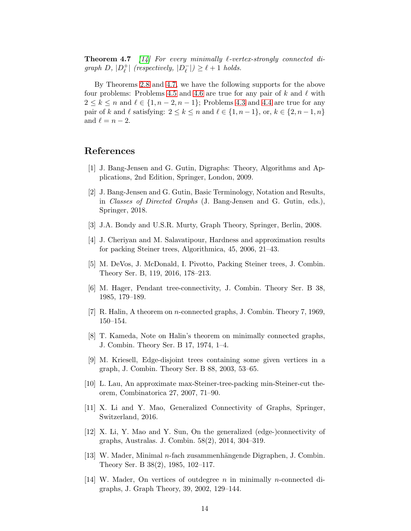**Theorem 4.7** [\[14\]](#page-13-12) For every minimally *l*-vertex-strongly connected di*graph*  $D$ *,*  $|D_{\ell}^+|$  $\frac{1}{\ell}$  | (respectively,  $|D_{\ell}^{-}|$  $\binom{-}{\ell} \geq \ell + 1$  *holds.* 

By Theorems [2.8](#page-6-0) and [4.7,](#page-12-3) we have the following supports for the above four problems: Problems [4.5](#page-12-4) and [4.6](#page-12-5) are true for any pair of k and  $\ell$  with  $2 \leq k \leq n$  and  $\ell \in \{1, n-2, n-1\}$ ; Problems [4.3](#page-12-1) and [4.4](#page-12-2) are true for any pair of k and  $\ell$  satisfying:  $2 \leq k \leq n$  and  $\ell \in \{1, n-1\}$ , or,  $k \in \{2, n-1, n\}$ and  $\ell = n - 2$ .

## <span id="page-13-0"></span>References

- [1] J. Bang-Jensen and G. Gutin, Digraphs: Theory, Algorithms and Applications, 2nd Edition, Springer, London, 2009.
- [2] J. Bang-Jensen and G. Gutin, Basic Terminology, Notation and Results, in *Classes of Directed Graphs* (J. Bang-Jensen and G. Gutin, eds.), Springer, 2018.
- <span id="page-13-2"></span><span id="page-13-1"></span>[3] J.A. Bondy and U.S.R. Murty, Graph Theory, Springer, Berlin, 2008.
- <span id="page-13-3"></span>[4] J. Cheriyan and M. Salavatipour, Hardness and approximation results for packing Steiner trees, Algorithmica, 45, 2006, 21–43.
- <span id="page-13-6"></span>[5] M. DeVos, J. McDonald, I. Pivotto, Packing Steiner trees, J. Combin. Theory Ser. B, 119, 2016, 178–213.
- <span id="page-13-9"></span>[6] M. Hager, Pendant tree-connectivity, J. Combin. Theory Ser. B 38, 1985, 179–189.
- <span id="page-13-10"></span>[7] R. Halin, A theorem on n-connected graphs, J. Combin. Theory 7, 1969, 150–154.
- <span id="page-13-4"></span>[8] T. Kameda, Note on Halin's theorem on minimally connected graphs, J. Combin. Theory Ser. B 17, 1974, 1–4.
- [9] M. Kriesell, Edge-disjoint trees containing some given vertices in a graph, J. Combin. Theory Ser. B 88, 2003, 53–65.
- <span id="page-13-7"></span><span id="page-13-5"></span>[10] L. Lau, An approximate max-Steiner-tree-packing min-Steiner-cut theorem, Combinatorica 27, 2007, 71–90.
- <span id="page-13-8"></span>[11] X. Li and Y. Mao, Generalized Connectivity of Graphs, Springer, Switzerland, 2016.
- [12] X. Li, Y. Mao and Y. Sun, On the generalized (edge-)connectivity of graphs, Australas. J. Combin. 58(2), 2014, 304–319.
- <span id="page-13-11"></span>[13] W. Mader, Minimal *n*-fach zusammenhängende Digraphen, J. Combin. Theory Ser. B 38(2), 1985, 102–117.
- <span id="page-13-12"></span>[14] W. Mader, On vertices of outdegree n in minimally n-connected digraphs, J. Graph Theory, 39, 2002, 129–144.